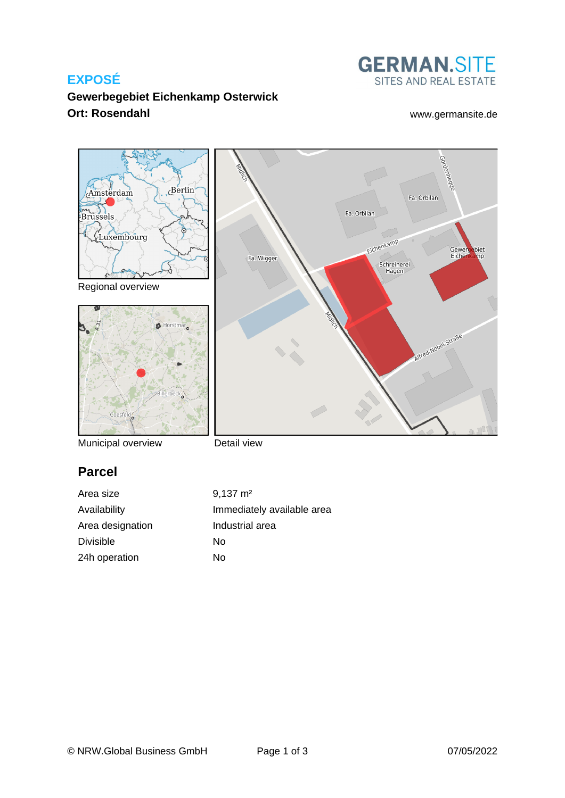## **EXPOSÉ**



## **Gewerbegebiet Eichenkamp Osterwick Ort: Rosendahl** [www.germansite.de](http://www.germansite.de)

Gewerg<br>Eichen

Straße Mobelbiet

Gorden

Fa. Orbilan

Fa. Orbilan

Eichenkamp

Schreinerei<br>Hagen



Regional overview



Municipal overview

# **Parcel**

Divisible No 24h operation No

Fa. Wigger

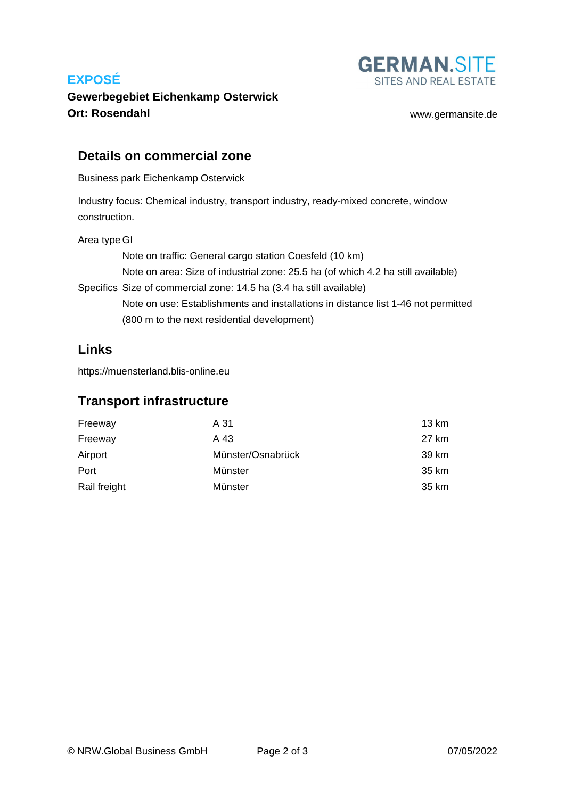## **EXPOSÉ**



## **Gewerbegebiet Eichenkamp Osterwick Ort: Rosendahl** [www.germansite.de](http://www.germansite.de)

### **Details on commercial zone**

Business park Eichenkamp Osterwick

Industry focus: Chemical industry, transport industry, ready-mixed concrete, window construction.

#### Area type GI

Specifics Size of commercial zone: 14.5 ha (3.4 ha still available) Note on traffic: General cargo station Coesfeld (10 km) Note on area: Size of industrial zone: 25.5 ha (of which 4.2 ha still available) Note on use: Establishments and installations in distance list 1-46 not permitted (800 m to the next residential development)

## **Links**

<https://muensterland.blis-online.eu>

### **Transport infrastructure**

| Freeway      | A 31              | 13 km |
|--------------|-------------------|-------|
| Freeway      | A 43              | 27 km |
| Airport      | Münster/Osnabrück | 39 km |
| Port         | Münster           | 35 km |
| Rail freight | Münster           | 35 km |